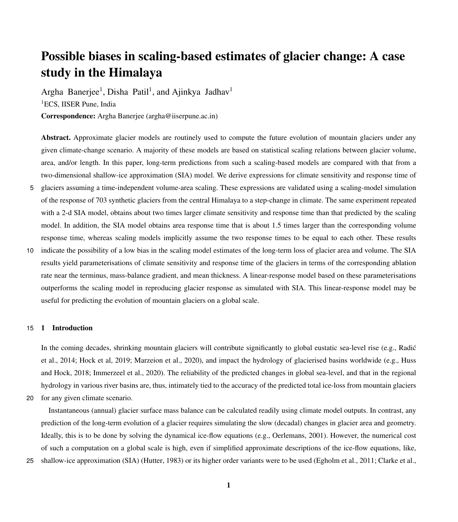# Possible biases in scaling-based estimates of glacier change: A case study in the Himalaya

Argha Banerjee<sup>1</sup>, Disha Patil<sup>1</sup>, and Ajinkya Jadhav<sup>1</sup> <sup>1</sup>ECS, IISER Pune, India Correspondence: Argha Banerjee (argha@iiserpune.ac.in)

Abstract. Approximate glacier models are routinely used to compute the future evolution of mountain glaciers under any given climate-change scenario. A majority of these models are based on statistical scaling relations between glacier volume, area, and/or length. In this paper, long-term predictions from such a scaling-based models are compared with that from a

5 glaciers assuming a time-independent volume-area scaling. These expressions are validated using a scaling-model simulation of the response of 703 synthetic glaciers from the central Himalaya to a step-change in climate. The same experiment repeated with a 2-d SIA model, obtains about two times larger climate sensitivity and response time than that predicted by the scaling model. In addition, the SIA model obtains area response time that is about 1.5 times larger than the corresponding volume response time, whereas scaling models implicitly assume the two response times to be equal to each other. These results

two-dimensional shallow-ice approximation (SIA) model. We derive expressions for climate sensitivity and response time of

10 indicate the possibility of a low bias in the scaling model estimates of the long-term loss of glacier area and volume. The SIA results yield parameterisations of climate sensitivity and response time of the glaciers in terms of the corresponding ablation rate near the terminus, mass-balance gradient, and mean thickness. A linear-response model based on these parameterisations outperforms the scaling model in reproducing glacier response as simulated with SIA. This linear-response model may be useful for predicting the evolution of mountain glaciers on a global scale.

# 15 1 Introduction

[I](#page-20-0)n the coming decades, shrinking mountain glaciers will contribute significantly to global eustatic sea-level rise (e.g., Radić [et al., 2014;](#page-20-0) [Hock et al, 2019;](#page-19-0) [Marzeion et al., 2020\)](#page-19-1), and impact the hydrology of glacierised basins worldwide (e.g., [Huss](#page-19-2) [and Hock, 2018;](#page-19-2) [Immerzeel et al., 2020\)](#page-19-3). The reliability of the predicted changes in global sea-level, and that in the regional hydrology in various river basins are, thus, intimately tied to the accuracy of the predicted total ice-loss from mountain glaciers

20 for any given climate scenario.

Instantaneous (annual) glacier surface mass balance can be calculated readily using climate model outputs. In contrast, any prediction of the long-term evolution of a glacier requires simulating the slow (decadal) changes in glacier area and geometry. Ideally, this is to be done by solving the dynamical ice-flow equations (e.g., [Oerlemans, 2001\)](#page-19-4). However, the numerical cost of such a computation on a global scale is high, even if simplified approximate descriptions of the ice-flow equations, like,

25 shallow-ice approximation (SIA) [\(Hutter, 1983\)](#page-19-5) or its higher order variants were to be used [\(Egholm et al., 2011;](#page-18-0) [Clarke et al.,](#page-18-1)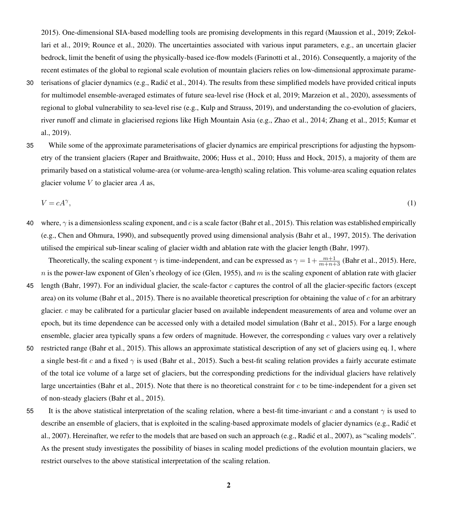[2015\)](#page-18-1). One-dimensional SIA-based modelling tools are promising developments in this regard [\(Maussion et al., 2019;](#page-18-2) [Zekol](#page-20-1)[lari et al., 2019;](#page-20-1) [Rounce et al., 2020\)](#page-20-2). The uncertainties associated with various input parameters, e.g., an uncertain glacier bedrock, limit the benefit of using the physically-based ice-flow models [\(Farinotti et al., 2016\)](#page-18-3). Consequently, a majority of the recent estimates of the global to regional scale evolution of mountain glaciers relies on low-dimensional approximate parame-

- 30 terisations of glacier dynamics (e.g., [Radic et al., 2014\)](#page-20-0). The results from these simplified models have provided critical inputs ´ for multimodel ensemble-averaged estimates of future sea-level rise [\(Hock et al, 2019;](#page-19-0) [Marzeion et al., 2020\)](#page-19-1), assessments of regional to global vulnerability to sea-level rise (e.g., [Kulp and Strauss, 2019\)](#page-19-6), and understanding the co-evolution of glaciers, [r](#page-19-7)iver runoff and climate in glacierised regions like High Mountain Asia (e.g., [Zhao et al., 2014;](#page-20-3) [Zhang et al., 2015;](#page-20-4) [Kumar et](#page-19-7) [al., 2019\)](#page-19-7).
- 35 While some of the approximate parameterisations of glacier dynamics are empirical prescriptions for adjusting the hypsometry of the transient glaciers [\(Raper and Braithwaite, 2006;](#page-20-5) [Huss et al., 2010;](#page-19-8) [Huss and Hock, 2015\)](#page-19-9), a majority of them are primarily based on a statistical volume-area (or volume-area-length) scaling relation. This volume-area scaling equation relates glacier volume  $V$  to glacier area  $A$  as,

<span id="page-1-0"></span>
$$
V = cA^{\gamma},\tag{1}
$$

40 where,  $\gamma$  is a dimensionless scaling exponent, and c is a scale factor [\(Bahr et al., 2015\)](#page-18-4). This relation was established empirically (e.g., [Chen and Ohmura, 1990\)](#page-18-5), and subsequently proved using dimensional analysis [\(Bahr et al., 1997,](#page-18-6) [2015\)](#page-18-4). The derivation utilised the empirical sub-linear scaling of glacier width and ablation rate with the glacier length [\(Bahr, 1997\)](#page-18-7).

Theoretically, the scaling exponent  $\gamma$  is time-independent, and can be expressed as  $\gamma = 1 + \frac{m+1}{m+n+3}$  [\(Bahr et al., 2015\)](#page-18-4). Here,  $n$  is the power-law exponent of Glen's rheology of ice [\(Glen, 1955\)](#page-18-8), and  $m$  is the scaling exponent of ablation rate with glacier

- 45 length [\(Bahr, 1997\)](#page-18-7). For an individual glacier, the scale-factor c captures the control of all the glacier-specific factors (except area) on its volume [\(Bahr et al., 2015\)](#page-18-4). There is no available theoretical prescription for obtaining the value of  $c$  for an arbitrary glacier.  $c$  may be calibrated for a particular glacier based on available independent measurements of area and volume over an epoch, but its time dependence can be accessed only with a detailed model simulation [\(Bahr et al., 2015\)](#page-18-4). For a large enough ensemble, glacier area typically spans a few orders of magnitude. However, the corresponding  $c$  values vary over a relatively
- 50 restricted range [\(Bahr et al., 2015\)](#page-18-4). This allows an approximate statistical description of any set of glaciers using eq. [1,](#page-1-0) where a single best-fit c and a fixed  $\gamma$  is used [\(Bahr et al., 2015\)](#page-18-4). Such a best-fit scaling relation provides a fairly accurate estimate of the total ice volume of a large set of glaciers, but the corresponding predictions for the individual glaciers have relatively large uncertainties [\(Bahr et al., 2015\)](#page-18-4). Note that there is no theoretical constraint for  $c$  to be time-independent for a given set of non-steady glaciers [\(Bahr et al., 2015\)](#page-18-4).
- 55 It is the above statistical interpretation of the scaling relation, where a best-fit time-invariant c and a constant  $\gamma$  is used to [d](#page-19-10)escribe an ensemble of glaciers, that is exploited in the scaling-based approximate models of glacier dynamics (e.g., Radić et [al., 2007\)](#page-19-10). Hereinafter, we refer to the models that are based on such an approach (e.g., [Radic et al., 2007\)](#page-19-10), as "scaling models". ´ As the present study investigates the possibility of biases in scaling model predictions of the evolution mountain glaciers, we restrict ourselves to the above statistical interpretation of the scaling relation.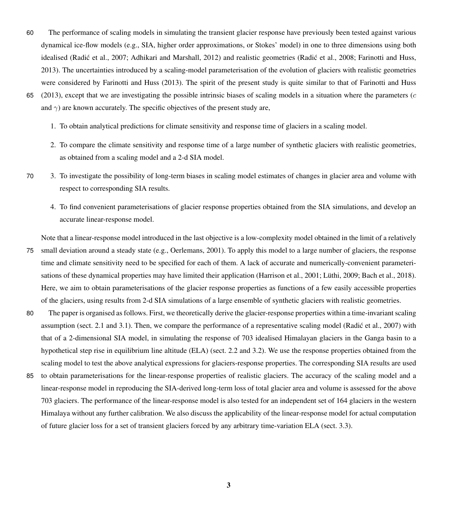- 60 The performance of scaling models in simulating the transient glacier response have previously been tested against various dynamical ice-flow models (e.g., SIA, higher order approximations, or Stokes' model) in one to three dimensions using both idealised (Radić et al., 2007; [Adhikari and Marshall, 2012\)](#page-18-9) and realistic geometries (Radić et al., 2008; [Farinotti and Huss,](#page-18-10) [2013\)](#page-18-10). The uncertainties introduced by a scaling-model parameterisation of the evolution of glaciers with realistic geometries were considered by [Farinotti and Huss](#page-18-10) [\(2013\)](#page-18-10). The spirit of the present study is quite similar to that of [Farinotti and Huss](#page-18-10)
- 65 [\(2013\)](#page-18-10), except that we are investigating the possible intrinsic biases of scaling models in a situation where the parameters  $(c<sub>c</sub>)$ and  $\gamma$ ) are known accurately. The specific objectives of the present study are,
	- 1. To obtain analytical predictions for climate sensitivity and response time of glaciers in a scaling model.
	- 2. To compare the climate sensitivity and response time of a large number of synthetic glaciers with realistic geometries, as obtained from a scaling model and a 2-d SIA model.
- 70 3. To investigate the possibility of long-term biases in scaling model estimates of changes in glacier area and volume with respect to corresponding SIA results.
	- 4. To find convenient parameterisations of glacier response properties obtained from the SIA simulations, and develop an accurate linear-response model.

Note that a linear-response model introduced in the last objective is a low-complexity model obtained in the limit of a relatively

- 75 small deviation around a steady state (e.g., [Oerlemans, 2001\)](#page-19-4). To apply this model to a large number of glaciers, the response time and climate sensitivity need to be specified for each of them. A lack of accurate and numerically-convenient parameterisations of these dynamical properties may have limited their application [\(Harrison et al., 2001;](#page-19-11) [Lüthi, 2009;](#page-19-12) [Bach et al., 2018\)](#page-18-11). Here, we aim to obtain parameterisations of the glacier response properties as functions of a few easily accessible properties of the glaciers, using results from 2-d SIA simulations of a large ensemble of synthetic glaciers with realistic geometries.
- 80 The paper is organised as follows. First, we theoretically derive the glacier-response properties within a time-invariant scaling assumption (sect. 2.1 and 3.1). Then, we compare the performance of a representative scaling model [\(Radic et al., 2007\)](#page-19-10) with that of a 2-dimensional SIA model, in simulating the response of 703 idealised Himalayan glaciers in the Ganga basin to a hypothetical step rise in equilibrium line altitude (ELA) (sect. 2.2 and 3.2). We use the response properties obtained from the scaling model to test the above analytical expressions for glaciers-response properties. The corresponding SIA results are used
- 85 to obtain parameterisations for the linear-response properties of realistic glaciers. The accuracy of the scaling model and a linear-response model in reproducing the SIA-derived long-term loss of total glacier area and volume is assessed for the above 703 glaciers. The performance of the linear-response model is also tested for an independent set of 164 glaciers in the western Himalaya without any further calibration. We also discuss the applicability of the linear-response model for actual computation of future glacier loss for a set of transient glaciers forced by any arbitrary time-variation ELA (sect. 3.3).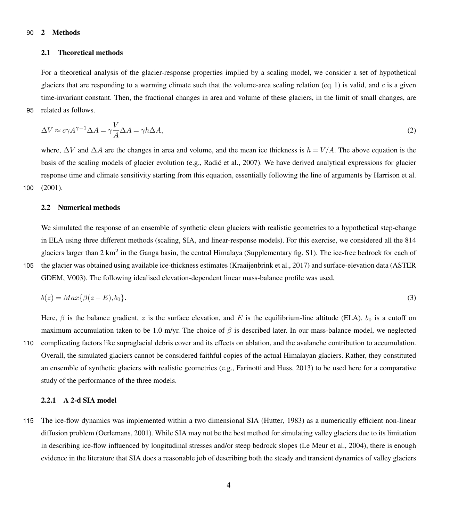## 90 2 Methods

# 2.1 Theoretical methods

For a theoretical analysis of the glacier-response properties implied by a scaling model, we consider a set of hypothetical glaciers that are responding to a warming climate such that the volume-area scaling relation (eq. [1\)](#page-1-0) is valid, and  $c$  is a given time-invariant constant. Then, the fractional changes in area and volume of these glaciers, in the limit of small changes, are 95 related as follows.

<span id="page-3-1"></span>
$$
\Delta V \approx c\gamma A^{\gamma - 1} \Delta A = \gamma \frac{V}{A} \Delta A = \gamma h \Delta A,\tag{2}
$$

where,  $\Delta V$  and  $\Delta A$  are the changes in area and volume, and the mean ice thickness is  $h = V/A$ . The above equation is the basis of the scaling models of glacier evolution (e.g., Radić et al., 2007). We have derived analytical expressions for glacier response time and climate sensitivity starting from this equation, essentially following the line of arguments by [Harrison et al.](#page-19-11) 100 [\(2001\)](#page-19-11).

#### 2.2 Numerical methods

We simulated the response of an ensemble of synthetic clean glaciers with realistic geometries to a hypothetical step-change in ELA using three different methods (scaling, SIA, and linear-response models). For this exercise, we considered all the 814 glaciers larger than 2 km<sup>2</sup> in the Ganga basin, the central Himalaya (Supplementary fig. S1). The ice-free bedrock for each of 105 [t](#page-18-12)he glacier was obtained using available ice-thickness estimates [\(Kraaijenbrink et al., 2017\)](#page-19-13) and surface-elevation data [\(ASTER](#page-18-12) [GDEM, V003\)](#page-18-12). The following idealised elevation-dependent linear mass-balance profile was used,

<span id="page-3-0"></span>
$$
b(z) = Max\{\beta(z - E), b_0\}.\tag{3}
$$

Here,  $\beta$  is the balance gradient, z is the surface elevation, and E is the equilibrium-line altitude (ELA).  $b_0$  is a cutoff on maximum accumulation taken to be 1.0 m/yr. The choice of  $\beta$  is described later. In our mass-balance model, we neglected

110 complicating factors like supraglacial debris cover and its effects on ablation, and the avalanche contribution to accumulation. Overall, the simulated glaciers cannot be considered faithful copies of the actual Himalayan glaciers. Rather, they constituted an ensemble of synthetic glaciers with realistic geometries (e.g., [Farinotti and Huss, 2013\)](#page-18-10) to be used here for a comparative study of the performance of the three models.

# 2.2.1 A 2-d SIA model

115 The ice-flow dynamics was implemented within a two dimensional SIA [\(Hutter, 1983\)](#page-19-5) as a numerically efficient non-linear diffusion problem [\(Oerlemans, 2001\)](#page-19-4). While SIA may not be the best method for simulating valley glaciers due to its limitation in describing ice-flow influenced by longitudinal stresses and/or steep bedrock slopes [\(Le Meur et al., 2004\)](#page-19-14), there is enough evidence in the literature that SIA does a reasonable job of describing both the steady and transient dynamics of valley glaciers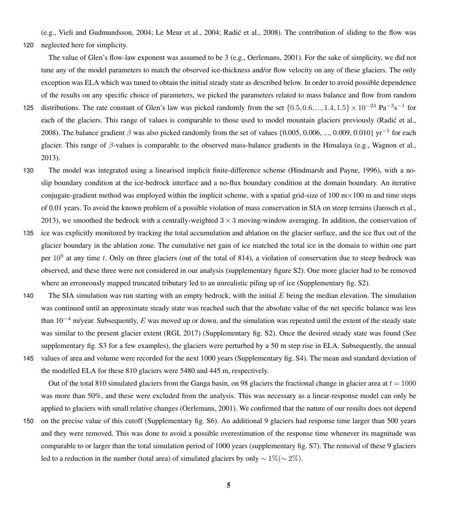(e.g., [Vieli and Gudmundsson, 2004;](#page-20-7) [Le Meur et al., 2004;](#page-19-14) [Radic et al., 2008\)](#page-20-6). The contribution of sliding to the flow was ´ 120 neglected here for simplicity.

The value of Glen's flow-law exponent was assumed to be 3 (e.g., [Oerlemans, 2001\)](#page-19-4). For the sake of simplicity, we did not tune any of the model parameters to match the observed ice-thickness and/or flow velocity on any of these glaciers. The only exception was ELA which was tuned to obtain the initial steady state as described below. In order to avoid possible dependence of the results on any specific choice of parameters, we picked the parameters related to mass balance and flow from random

- 125 distributions. The rate constant of Glen's law was picked randomly from the set  $\{0.5, 0.6, ..., 1.4, 1.5\} \times 10^{-24}$  Pa<sup>-3</sup>s<sup>-1</sup> for each of the glaciers. This range of values is comparable to those used to model mountain glaciers previously [\(Radic et al.,](#page-20-6) [2008\)](#page-20-6). The balance gradient  $\beta$  was also picked randomly from the set of values {0.005, 0.006, ..., 0.009, 0.010} yr<sup>-1</sup> for each glacier. This range of β-values is comparable to the observed mass-balance gradients in the Himalaya (e.g., [Wagnon et al.,](#page-20-8) [2013\)](#page-20-8).
- 130 The model was integrated using a linearised implicit finite-difference scheme [\(Hindmarsh and Payne, 1996\)](#page-19-15), with a noslip boundary condition at the ice-bedrock interface and a no-flux boundary condition at the domain boundary. An iterative conjugate-gradient method was employed within the implicit scheme, with a spatial grid-size of  $100 \text{ m} \times 100 \text{ m}$  and time steps of 0.01 years. To avoid the known problem of a possible violation of mass conservation in SIA on steep terrains [\(Jarosch et al.,](#page-19-16) [2013\)](#page-19-16), we smoothed the bedrock with a centrally-weighted  $3 \times 3$  moving-window averaging. In addition, the conservation of
- 135 ice was explicitly monitored by tracking the total accumulation and ablation on the glacier surface, and the ice flux out of the glacier boundary in the ablation zone. The cumulative net gain of ice matched the total ice in the domain to within one part per  $10^9$  at any time t. Only on three glaciers (out of the total of 814), a violation of conservation due to steep bedrock was observed, and these three were not considered in our analysis (supplementary figure S2). One more glacier had to be removed where an erroneously mapped truncated tributary led to an unrealistic piling up of ice (Supplementary fig. S2).
- 140 The SIA simulation was run starting with an empty bedrock, with the initial  $E$  being the median elevation. The simulation was continued until an approximate steady state was reached such that the absolute value of the net specific balance was less than  $10^{-4}$  m/year. Subsequently, E was moved up or down, and the simulation was repeated until the extent of the steady state was similar to the present glacier extent [\(RGI, 2017\)](#page-20-9) (Supplementary fig. S2). Once the desired steady state was found (See supplementary fig. S3 for a few examples), the glaciers were perturbed by a 50 m step rise in ELA. Subsequently, the annual 145 values of area and volume were recorded for the next 1000 years (Supplementary fig. S4). The mean and standard deviation of the modelled ELA for these 810 glaciers were 5480 and 445 m, respectively.

Out of the total 810 simulated glaciers from the Ganga basin, on 98 glaciers the fractional change in glacier area at  $t = 1000$ was more than 50%, and these were excluded from the analysis. This was necessary as a linear-response model can only be applied to glaciers with small relative changes [\(Oerlemans, 2001\)](#page-19-4). We confirmed that the nature of our results does not depend

150 on the precise value of this cutoff (Supplementary fig. S6). An additional 9 glaciers had response time larger than 500 years and they were removed. This was done to avoid a possible overestimation of the response time whenever its magnitude was comparable to or larger than the total simulation period of 1000 years (supplementary fig. S7). The removal of these 9 glaciers led to a reduction in the number (total area) of simulated glaciers by only  $\sim 1\% (\sim 2\%)$ .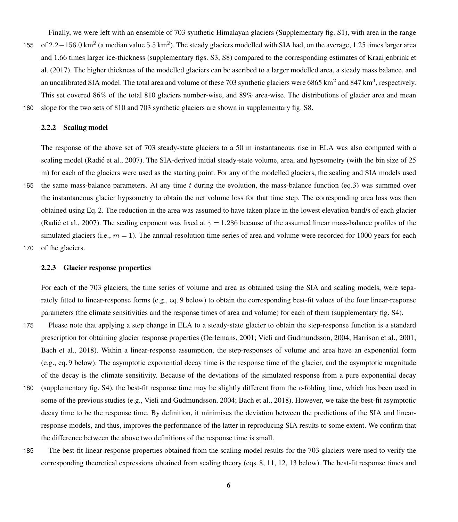Finally, we were left with an ensemble of 703 synthetic Himalayan glaciers (Supplementary fig. S1), with area in the range 155 of  $2.2-156.0 \text{ km}^2$  (a median value  $5.5 \text{ km}^2$ ). The steady glaciers modelled with SIA had, on the average, 1.25 times larger area [a](#page-19-13)nd 1.66 times larger ice-thickness (supplementary figs. S3, S8) compared to the corresponding estimates of [Kraaijenbrink et](#page-19-13) [al.](#page-19-13) [\(2017\)](#page-19-13). The higher thickness of the modelled glaciers can be ascribed to a larger modelled area, a steady mass balance, and an uncalibrated SIA model. The total area and volume of these 703 synthetic glaciers were 6865 km<sup>2</sup> and 847 km<sup>3</sup>, respectively. This set covered 86% of the total 810 glaciers number-wise, and 89% area-wise. The distributions of glacier area and mean 160 slope for the two sets of 810 and 703 synthetic glaciers are shown in supplementary fig. S8.

## 2.2.2 Scaling model

The response of the above set of 703 steady-state glaciers to a 50 m instantaneous rise in ELA was also computed with a scaling model (Radić et al., 2007). The SIA-derived initial steady-state volume, area, and hypsometry (with the bin size of 25 m) for each of the glaciers were used as the starting point. For any of the modelled glaciers, the scaling and SIA models used 165 the same mass-balance parameters. At any time t during the evolution, the mass-balance function (eq[.3\)](#page-3-0) was summed over the instantaneous glacier hypsometry to obtain the net volume loss for that time step. The corresponding area loss was then obtained using Eq. [2.](#page-3-1) The reduction in the area was assumed to have taken place in the lowest elevation band/s of each glacier (Radić et al., 2007). The scaling exponent was fixed at  $\gamma = 1.286$  because of the assumed linear mass-balance profiles of the simulated glaciers (i.e.,  $m = 1$ ). The annual-resolution time series of area and volume were recorded for 1000 years for each

170 of the glaciers.

# 2.2.3 Glacier response properties

For each of the 703 glaciers, the time series of volume and area as obtained using the SIA and scaling models, were separately fitted to linear-response forms (e.g., eq. [9](#page-7-0) below) to obtain the corresponding best-fit values of the four linear-response parameters (the climate sensitivities and the response times of area and volume) for each of them (supplementary fig. S4).

- 175 Please note that applying a step change in ELA to a steady-state glacier to obtain the step-response function is a standard prescription for obtaining glacier response properties [\(Oerlemans, 2001;](#page-19-4) [Vieli and Gudmundsson, 2004;](#page-20-7) [Harrison et al., 2001;](#page-19-11) [Bach et al., 2018\)](#page-18-11). Within a linear-response assumption, the step-responses of volume and area have an exponential form (e.g., eq. [9](#page-7-0) below). The asymptotic exponential decay time is the response time of the glacier, and the asymptotic magnitude of the decay is the climate sensitivity. Because of the deviations of the simulated response from a pure exponential decay
- 180 (supplementary fig. S4), the best-fit response time may be slightly different from the e-folding time, which has been used in some of the previous studies (e.g., [Vieli and Gudmundsson, 2004;](#page-20-7) [Bach et al., 2018\)](#page-18-11). However, we take the best-fit asymptotic decay time to be the response time. By definition, it minimises the deviation between the predictions of the SIA and linearresponse models, and thus, improves the performance of the latter in reproducing SIA results to some extent. We confirm that the difference between the above two definitions of the response time is small.
- 185 The best-fit linear-response properties obtained from the scaling model results for the 703 glaciers were used to verify the corresponding theoretical expressions obtained from scaling theory (eqs. [8,](#page-7-1) [11,](#page-8-0) [12,](#page-8-1) [13](#page-8-2) below). The best-fit response times and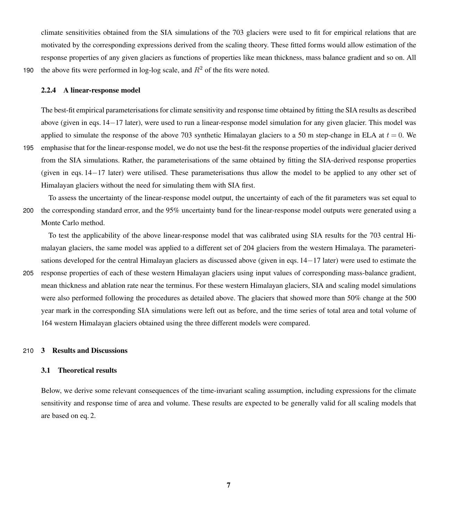climate sensitivities obtained from the SIA simulations of the 703 glaciers were used to fit for empirical relations that are motivated by the corresponding expressions derived from the scaling theory. These fitted forms would allow estimation of the response properties of any given glaciers as functions of properties like mean thickness, mass balance gradient and so on. All 190 the above fits were performed in log-log scale, and  $R^2$  of the fits were noted.

### 2.2.4 A linear-response model

The best-fit empirical parameterisations for climate sensitivity and response time obtained by fitting the SIA results as described above (given in eqs. [14](#page-14-0)−[17](#page-14-0) later), were used to run a linear-response model simulation for any given glacier. This model was applied to simulate the response of the above 703 synthetic Himalayan glaciers to a 50 m step-change in ELA at  $t = 0$ . We 195 emphasise that for the linear-response model, we do not use the best-fit the response properties of the individual glacier derived from the SIA simulations. Rather, the parameterisations of the same obtained by fitting the SIA-derived response properties (given in eqs. [14](#page-14-0)−[17](#page-14-0) later) were utilised. These parameterisations thus allow the model to be applied to any other set of Himalayan glaciers without the need for simulating them with SIA first.

To assess the uncertainty of the linear-response model output, the uncertainty of each of the fit parameters was set equal to 200 the corresponding standard error, and the 95% uncertainty band for the linear-response model outputs were generated using a Monte Carlo method.

To test the applicability of the above linear-response model that was calibrated using SIA results for the 703 central Himalayan glaciers, the same model was applied to a different set of 204 glaciers from the western Himalaya. The parameterisations developed for the central Himalayan glaciers as discussed above (given in eqs. [14](#page-14-0)−[17](#page-14-0) later) were used to estimate the 205 response properties of each of these western Himalayan glaciers using input values of corresponding mass-balance gradient, mean thickness and ablation rate near the terminus. For these western Himalayan glaciers, SIA and scaling model simulations were also performed following the procedures as detailed above. The glaciers that showed more than 50% change at the 500 year mark in the corresponding SIA simulations were left out as before, and the time series of total area and total volume of

164 western Himalayan glaciers obtained using the three different models were compared.

#### 210 3 Results and Discussions

# 3.1 Theoretical results

Below, we derive some relevant consequences of the time-invariant scaling assumption, including expressions for the climate sensitivity and response time of area and volume. These results are expected to be generally valid for all scaling models that are based on eq. [2.](#page-3-1)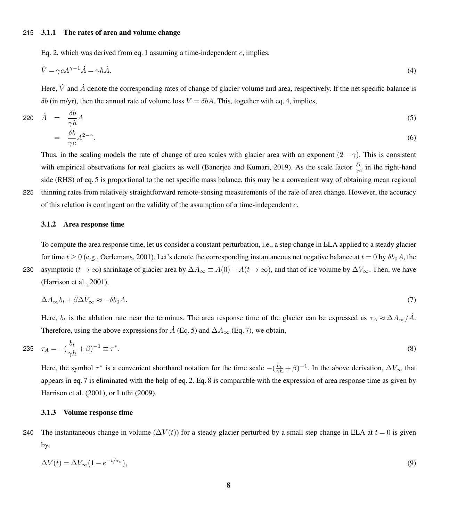# 215 3.1.1 The rates of area and volume change

<span id="page-7-2"></span>Eq. [2,](#page-3-1) which was derived from eq. [1](#page-1-0) assuming a time-independent  $c$ , implies,

$$
\dot{V} = \gamma c A^{\gamma - 1} \dot{A} = \gamma h \dot{A}.\tag{4}
$$

Here, V and  $\dot{A}$  denote the corresponding rates of change of glacier volume and area, respectively. If the net specific balance is δb (in m/yr), then the annual rate of volume loss  $\dot{V} = δbA$ . This, together with eq. [4,](#page-7-2) implies,

<span id="page-7-3"></span>
$$
220 \quad \dot{A} = \frac{\delta b}{\gamma h} A
$$
\n
$$
= \frac{\delta b}{\gamma c} A^{2-\gamma}.
$$
\n(6)

Thus, in the scaling models the rate of change of area scales with glacier area with an exponent  $(2 - \gamma)$ . This is consistent with empirical observations for real glaciers as well [\(Banerjee and Kumari, 2019\)](#page-18-13). As the scale factor  $\frac{\delta b}{\gamma c}$  in the right-hand side (RHS) of eq. [5](#page-7-3) is proportional to the net specific mass balance, this may be a convenient way of obtaining mean regional 225 thinning rates from relatively straightforward remote-sensing measurements of the rate of area change. However, the accuracy of this relation is contingent on the validity of the assumption of a time-independent  $c$ .

#### 3.1.2 Area response time

To compute the area response time, let us consider a constant perturbation, i.e., a step change in ELA applied to a steady glacier for time  $t \ge 0$  (e.g., [Oerlemans, 2001\)](#page-19-4). Let's denote the corresponding instantaneous net negative balance at  $t = 0$  by  $\delta b_0 A$ , the 230 asymptotic ( $t \to \infty$ ) shrinkage of glacier area by  $\Delta A_{\infty} \equiv A(0) - A(t \to \infty)$ , and that of ice volume by  $\Delta V_{\infty}$ . Then, we have [\(Harrison et al., 2001\)](#page-19-11),

<span id="page-7-4"></span>
$$
\Delta A_{\infty} b_t + \beta \Delta V_{\infty} \approx -\delta b_0 A. \tag{7}
$$

<span id="page-7-1"></span>Here,  $b_t$  is the ablation rate near the terminus. The area response time of the glacier can be expressed as  $\tau_A \approx \Delta A_\infty / \dot{A}$ . Therefore, using the above expressions for  $\dot{A}$  (Eq. [5\)](#page-7-3) and  $\Delta A_{\infty}$  (Eq. [7\)](#page-7-4), we obtain,

235 
$$
\tau_A = -(\frac{b_t}{\gamma h} + \beta)^{-1} \equiv \tau^*
$$
. (8)

Here, the symbol  $\tau^*$  is a convenient shorthand notation for the time scale  $-(\frac{b_t}{\gamma h}+\beta)^{-1}$ . In the above derivation,  $\Delta V_{\infty}$  that appears in eq. [7](#page-7-4) is eliminated with the help of eq. [2.](#page-3-1) Eq. [8](#page-7-1) is comparable with the expression of area response time as given by [Harrison et al.](#page-19-11) [\(2001\)](#page-19-11), or [Lüthi](#page-19-12) [\(2009\)](#page-19-12).

# 3.1.3 Volume response time

240 The instantaneous change in volume  $(\Delta V(t))$  for a steady glacier perturbed by a small step change in ELA at  $t = 0$  is given by,

<span id="page-7-0"></span>
$$
\Delta V(t) = \Delta V_{\infty} (1 - e^{-t/\tau_v}),\tag{9}
$$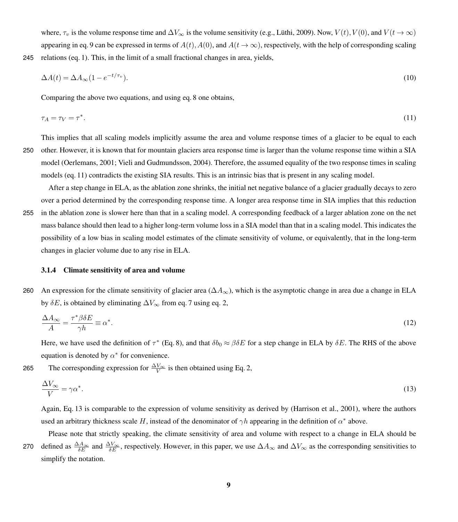where,  $\tau_v$  is the volume response time and  $\Delta V_{\infty}$  is the volume sensitivity (e.g., [Lüthi, 2009\)](#page-19-12). Now,  $V(t)$ ,  $V(0)$ , and  $V(t \to \infty)$ appearing in eq. [9](#page-7-0) can be expressed in terms of  $A(t)$ ,  $A(0)$ , and  $A(t \to \infty)$ , respectively, with the help of corresponding scaling 245 relations (eq. [1\)](#page-1-0). This, in the limit of a small fractional changes in area, yields,

$$
\Delta A(t) = \Delta A_{\infty} (1 - e^{-t/\tau_v}). \tag{10}
$$

<span id="page-8-0"></span>Comparing the above two equations, and using eq. [8](#page-7-1) one obtains,

$$
\tau_A = \tau_V = \tau^*.\tag{11}
$$

This implies that all scaling models implicitly assume the area and volume response times of a glacier to be equal to each 250 other. However, it is known that for mountain glaciers area response time is larger than the volume response time within a SIA model [\(Oerlemans, 2001;](#page-19-4) [Vieli and Gudmundsson, 2004\)](#page-20-7). Therefore, the assumed equality of the two response times in scaling

models (eq. [11\)](#page-8-0) contradicts the existing SIA results. This is an intrinsic bias that is present in any scaling model.

After a step change in ELA, as the ablation zone shrinks, the initial net negative balance of a glacier gradually decays to zero over a period determined by the corresponding response time. A longer area response time in SIA implies that this reduction 255 in the ablation zone is slower here than that in a scaling model. A corresponding feedback of a larger ablation zone on the net mass balance should then lead to a higher long-term volume loss in a SIA model than that in a scaling model. This indicates the possibility of a low bias in scaling model estimates of the climate sensitivity of volume, or equivalently, that in the long-term

changes in glacier volume due to any rise in ELA.

#### 3.1.4 Climate sensitivity of area and volume

260 An expression for the climate sensitivity of glacier area ( $\Delta A_{\infty}$ ), which is the asymptotic change in area due a change in ELA by  $\delta E$ , is obtained by eliminating  $\Delta V_{\infty}$  from eq. [7](#page-7-4) using eq. [2,](#page-3-1)

<span id="page-8-1"></span>
$$
\frac{\Delta A_{\infty}}{A} = \frac{\tau^* \beta \delta E}{\gamma h} \equiv \alpha^*.
$$
\n(12)

Here, we have used the definition of  $\tau^*$  (Eq. [8\)](#page-7-1), and that  $\delta b_0 \approx \beta \delta E$  for a step change in ELA by  $\delta E$ . The RHS of the above equation is denoted by  $\alpha^*$  for convenience.

265 The corresponding expression for  $\frac{\Delta V_{\infty}}{V}$  is then obtained using Eq. [2,](#page-3-1)

<span id="page-8-2"></span>
$$
\frac{\Delta V_{\infty}}{V} = \gamma \alpha^*.\tag{13}
$$

Again, Eq. [13](#page-8-2) is comparable to the expression of volume sensitivity as derived by [\(Harrison et al., 2001\)](#page-19-11), where the authors used an arbitrary thickness scale H, instead of the denominator of  $\gamma h$  appearing in the definition of  $\alpha^*$  above.

Please note that strictly speaking, the climate sensitivity of area and volume with respect to a change in ELA should be 270 defined as  $\frac{\Delta A_{\infty}}{\delta E}$  and  $\frac{\Delta V_{\infty}}{\delta E}$ , respectively. However, in this paper, we use  $\Delta A_{\infty}$  and  $\Delta V_{\infty}$  as the corresponding sensitivities to simplify the notation.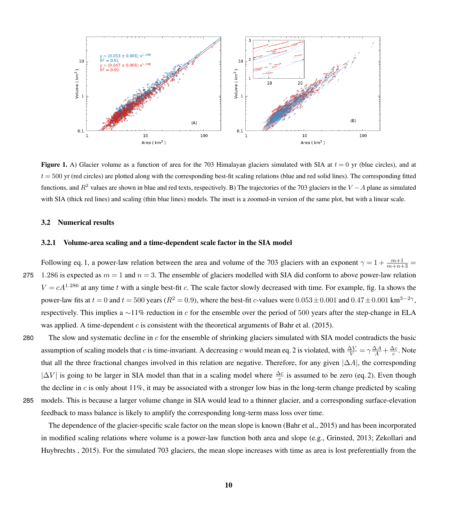<span id="page-9-0"></span>

**Figure 1.** A) Glacier volume as a function of area for the 703 Himalayan glaciers simulated with SIA at  $t = 0$  yr (blue circles), and at  $t = 500$  yr (red circles) are plotted along with the corresponding best-fit scaling relations (blue and red solid lines). The corresponding fitted functions, and  $R^2$  values are shown in blue and red texts, respectively. B) The trajectories of the 703 glaciers in the  $V - A$  plane as simulated with SIA (thick red lines) and scaling (thin blue lines) models. The inset is a zoomed-in version of the same plot, but with a linear scale.

# 3.2 Numerical results

# 3.2.1 Volume-area scaling and a time-dependent scale factor in the SIA model

Following eq. [1,](#page-1-0) a power-law relation between the area and volume of the 703 glaciers with an exponent  $\gamma = 1 + \frac{m+1}{m+n+3}$ 275 1.286 is expected as  $m = 1$  and  $n = 3$ . The ensemble of glaciers modelled with SIA did conform to above power-law relation  $V = cA^{1.286}$  at any time t with a single best-fit c. The scale factor slowly decreased with time. For example, fig. [1a](#page-9-0) shows the power-law fits at  $t = 0$  and  $t = 500$  years ( $R^2 = 0.9$ ), where the best-fit c-values were  $0.053 \pm 0.001$  and  $0.47 \pm 0.001$  km<sup>3-2</sup><sup>γ</sup>, respectively. This implies a ∼11% reduction in c for the ensemble over the period of 500 years after the step-change in ELA was applied. A time-dependent c is consistent with the theoretical arguments of [Bahr et al.](#page-18-4) [\(2015\)](#page-18-4).

280 The slow and systematic decline in  $c$  for the ensemble of shrinking glaciers simulated with SIA model contradicts the basic assumption of scaling models that c is time-invariant. A decreasing c would mean eq. [2](#page-3-1) is violated, with  $\frac{\Delta V}{V} = \gamma \frac{\Delta A}{A} + \frac{\Delta c}{c}$ . Note that all the three fractional changes involved in this relation are negative. Therefore, for any given  $|\Delta A|$ , the corresponding  $|\Delta V|$  is going to be larger in SIA model than that in a scaling model where  $\frac{\Delta c}{c}$  is assumed to be zero (eq. [2\)](#page-3-1). Even though the decline in  $c$  is only about 11%, it may be associated with a stronger low bias in the long-term change predicted by scaling 285 models. This is because a larger volume change in SIA would lead to a thinner glacier, and a corresponding surface-elevation feedback to mass balance is likely to amplify the corresponding long-term mass loss over time.

The dependence of the glacier-specific scale factor on the mean slope is known [\(Bahr et al., 2015\)](#page-18-4) and has been incorporated [i](#page-20-10)n modified scaling relations where volume is a power-law function both area and slope (e.g., [Grinsted, 2013;](#page-18-14) [Zekollari and](#page-20-10) [Huybrechts , 2015\)](#page-20-10). For the simulated 703 glaciers, the mean slope increases with time as area is lost preferentially from the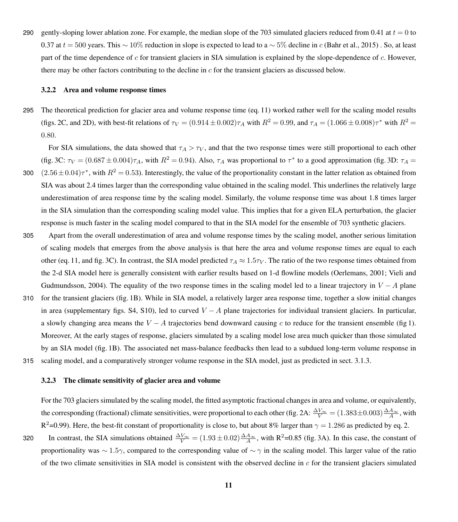290 gently-sloping lower ablation zone. For example, the median slope of the 703 simulated glaciers reduced from 0.41 at  $t = 0$  to 0.37 at  $t = 500$  years. This ~ 10% reduction in slope is expected to lead to a ~ 5% decline in c [\(Bahr et al., 2015\)](#page-18-4). So, at least part of the time dependence of c for transient glaciers in SIA simulation is explained by the slope-dependence of  $c$ . However, there may be other factors contributing to the decline in  $c$  for the transient glaciers as discussed below.

# 3.2.2 Area and volume response times

295 The theoretical prediction for glacier area and volume response time (eq. [11\)](#page-8-0) worked rather well for the scaling model results (figs. [2C](#page-11-0), and [2D](#page-11-0)), with best-fit relations of  $\tau_V = (0.914 \pm 0.002)\tau_A$  with  $R^2 = 0.99$ , and  $\tau_A = (1.066 \pm 0.008)\tau^*$  with  $R^2 =$ 0.80.

For SIA simulations, the data showed that  $\tau_A > \tau_V$ , and that the two response times were still proportional to each other (fig. [3C](#page-12-0):  $\tau_V = (0.687 \pm 0.004)\tau_A$ , with  $R^2 = 0.94$ ). Also,  $\tau_A$  was proportional to  $\tau^*$  to a good approximation (fig. [3D](#page-12-0):  $\tau_A =$ 

- 300  $(2.56\pm0.04)\tau^*$ , with  $R^2=0.53$ ). Interestingly, the value of the proportionality constant in the latter relation as obtained from SIA was about 2.4 times larger than the corresponding value obtained in the scaling model. This underlines the relatively large underestimation of area response time by the scaling model. Similarly, the volume response time was about 1.8 times larger in the SIA simulation than the corresponding scaling model value. This implies that for a given ELA perturbation, the glacier response is much faster in the scaling model compared to that in the SIA model for the ensemble of 703 synthetic glaciers.
- 305 Apart from the overall underestimation of area and volume response times by the scaling model, another serious limitation of scaling models that emerges from the above analysis is that here the area and volume response times are equal to each other (eq. [11,](#page-8-0) and fig. [3C](#page-12-0)). In contrast, the SIA model predicted  $\tau_A \approx 1.5\tau_V$ . The ratio of the two response times obtained from [t](#page-20-7)he 2-d SIA model here is generally consistent with earlier results based on 1-d flowline models [\(Oerlemans, 2001;](#page-19-4) [Vieli and](#page-20-7) [Gudmundsson, 2004\)](#page-20-7). The equality of the two response times in the scaling model led to a linear trajectory in  $V - A$  plane
- 310 for the transient glaciers (fig. [1B](#page-9-0)). While in SIA model, a relatively larger area response time, together a slow initial changes in area (supplementary figs. S4, S10), led to curved  $V - A$  plane trajectories for individual transient glaciers. In particular, a slowly changing area means the  $V - A$  trajectories bend downward causing c to reduce for the transient ensemble (fig [1\)](#page-9-0). Moreover, At the early stages of response, glaciers simulated by a scaling model lose area much quicker than those simulated by an SIA model (fig. [1B](#page-9-0)). The associated net mass-balance feedbacks then lead to a subdued long-term volume response in 315 scaling model, and a comparatively stronger volume response in the SIA model, just as predicted in sect. 3.1.3.

## 3.2.3 The climate sensitivity of glacier area and volume

For the 703 glaciers simulated by the scaling model, the fitted asymptotic fractional changes in area and volume, or equivalently, the corresponding (fractional) climate sensitivities, were proportional to each other (fig. [2A](#page-11-0):  $\frac{\Delta V_{\infty}}{V} = (1.383 \pm 0.003) \frac{\Delta A_{\infty}}{A}$ , with  $R^2$ =0.99). Here, the best-fit constant of proportionality is close to, but about 8% larger than  $\gamma$  = 1.286 as predicted by eq. [2.](#page-3-1)

320 In contrast, the SIA simulations obtained  $\frac{\Delta V_{\infty}}{V} = (1.93 \pm 0.02) \frac{\Delta A_{\infty}}{A}$ , with R<sup>2</sup>=0.85 (fig. [3A](#page-12-0)). In this case, the constant of proportionality was  $\sim 1.5\gamma$ , compared to the corresponding value of  $\sim \gamma$  in the scaling model. This larger value of the ratio of the two climate sensitivities in SIA model is consistent with the observed decline in  $c$  for the transient glaciers simulated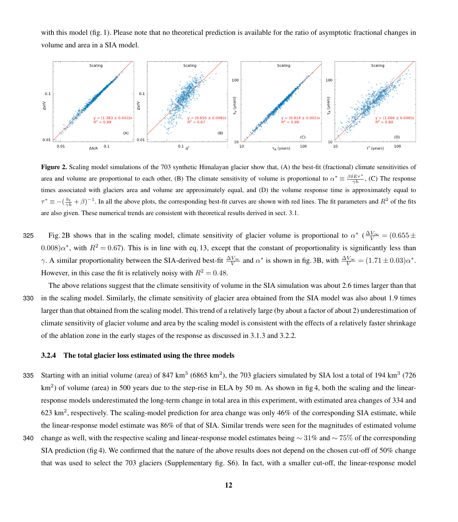with this model (fig. [1\)](#page-9-0). Please note that no theoretical prediction is available for the ratio of asymptotic fractional changes in volume and area in a SIA model.

<span id="page-11-0"></span>

Figure 2. Scaling model simulations of the 703 synthetic Himalayan glacier show that, (A) the best-fit (fractional) climate sensitivities of area and volume are proportional to each other, (B) The climate sensitivity of volume is proportional to  $\alpha^* \equiv \frac{\beta \delta E \tau^*}{\gamma h}$ , (C) The response times associated with glaciers area and volume are approximately equal, and (D) the volume response time is approximately equal to  $\tau^* \equiv -(\frac{b_t}{\gamma h} + \beta)^{-1}$ . In all the above plots, the corresponding best-fit curves are shown with red lines. The fit parameters and  $R^2$  of the fits are also given. These numerical trends are consistent with theoretical results derived in sect. 3.1.

325 Fig. [2B](#page-11-0) shows that in the scaling model, climate sensitivity of glacier volume is proportional to  $\alpha^*$  ( $\frac{\Delta V_{\infty}}{V}$  = (0.655  $\pm$  $(0.008)\alpha^*$ , with  $R^2 = 0.67$ ). This is in line with eq. [13,](#page-8-2) except that the constant of proportionality is significantly less than  $\gamma$ . A similar proportionality between the SIA-derived best-fit  $\frac{\Delta V_{\infty}}{V}$  and  $\alpha^*$  is shown in fig. [3B](#page-12-0), with  $\frac{\Delta V_{\infty}}{V} = (1.71 \pm 0.03)\alpha^*$ . However, in this case the fit is relatively noisy with  $R^2 = 0.48$ .

The above relations suggest that the climate sensitivity of volume in the SIA simulation was about 2.6 times larger than that 330 in the scaling model. Similarly, the climate sensitivity of glacier area obtained from the SIA model was also about 1.9 times larger than that obtained from the scaling model. This trend of a relatively large (by about a factor of about 2) underestimation of climate sensitivity of glacier volume and area by the scaling model is consistent with the effects of a relatively faster shrinkage of the ablation zone in the early stages of the response as discussed in 3.1.3 and 3.2.2.

#### 3.2.4 The total glacier loss estimated using the three models

- 335 Starting with an initial volume (area) of  $847 \text{ km}^3$  (6865 km<sup>2</sup>), the 703 glaciers simulated by SIA lost a total of 194 km<sup>3</sup> (726  $km<sup>2</sup>$ ) of volume (area) in 500 years due to the step-rise in ELA by 50 m. As shown in fig [4,](#page-13-0) both the scaling and the linearresponse models underestimated the long-term change in total area in this experiment, with estimated area changes of 334 and 623 km<sup>2</sup>, respectively. The scaling-model prediction for area change was only 46% of the corresponding SIA estimate, while the linear-response model estimate was 86% of that of SIA. Similar trends were seen for the magnitudes of estimated volume 340 change as well, with the respective scaling and linear-response model estimates being  $\sim$  31% and  $\sim$  75% of the corresponding
- SIA prediction (fig [4\)](#page-13-0). We confirmed that the nature of the above results does not depend on the chosen cut-off of 50% change that was used to select the 703 glaciers (Supplementary fig. S6). In fact, with a smaller cut-off, the linear-response model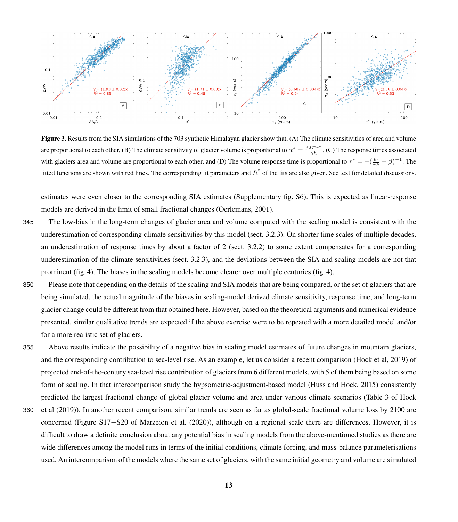<span id="page-12-0"></span>

Figure 3. Results from the SIA simulations of the 703 synthetic Himalayan glacier show that, (A) The climate sensitivities of area and volume are proportional to each other, (B) The climate sensitivity of glacier volume is proportional to  $\alpha^* = \frac{\beta \delta E \tau^*}{\gamma h}$ , (C) The response times associated with glaciers area and volume are proportional to each other, and (D) The volume response time is proportional to  $\tau^* = -(\frac{b_t}{\gamma h} + \beta)^{-1}$ . The fitted functions are shown with red lines. The corresponding fit parameters and  $R^2$  of the fits are also given. See text for detailed discussions.

estimates were even closer to the corresponding SIA estimates (Supplementary fig. S6). This is expected as linear-response models are derived in the limit of small fractional changes [\(Oerlemans, 2001\)](#page-19-4).

- 345 The low-bias in the long-term changes of glacier area and volume computed with the scaling model is consistent with the underestimation of corresponding climate sensitivities by this model (sect. 3.2.3). On shorter time scales of multiple decades, an underestimation of response times by about a factor of 2 (sect. 3.2.2) to some extent compensates for a corresponding underestimation of the climate sensitivities (sect. 3.2.3), and the deviations between the SIA and scaling models are not that prominent (fig. [4\)](#page-13-0). The biases in the scaling models become clearer over multiple centuries (fig. [4\)](#page-13-0).
- 350 Please note that depending on the details of the scaling and SIA models that are being compared, or the set of glaciers that are being simulated, the actual magnitude of the biases in scaling-model derived climate sensitivity, response time, and long-term glacier change could be different from that obtained here. However, based on the theoretical arguments and numerical evidence presented, similar qualitative trends are expected if the above exercise were to be repeated with a more detailed model and/or for a more realistic set of glaciers.
	- 355 Above results indicate the possibility of a negative bias in scaling model estimates of future changes in mountain glaciers, and the corresponding contribution to sea-level rise. As an example, let us consider a recent comparison [\(Hock et al, 2019\)](#page-19-0) of projected end-of-the-century sea-level rise contribution of glaciers from 6 different models, with 5 of them being based on some form of scaling. In that intercomparison study the hypsometric-adjustment-based model [\(Huss and Hock, 2015\)](#page-19-9) consistently [p](#page-19-0)redicted the largest fractional change of global glacier volume and area under various climate scenarios (Table 3 of [Hock](#page-19-0)
	- 360 [et al](#page-19-0) [\(2019\)](#page-19-0)). In another recent comparison, similar trends are seen as far as global-scale fractional volume loss by 2100 are concerned (Figure S17−S20 of [Marzeion et al.](#page-19-1) [\(2020\)](#page-19-1)), although on a regional scale there are differences. However, it is difficult to draw a definite conclusion about any potential bias in scaling models from the above-mentioned studies as there are wide differences among the model runs in terms of the initial conditions, climate forcing, and mass-balance parameterisations used. An intercomparison of the models where the same set of glaciers, with the same initial geometry and volume are simulated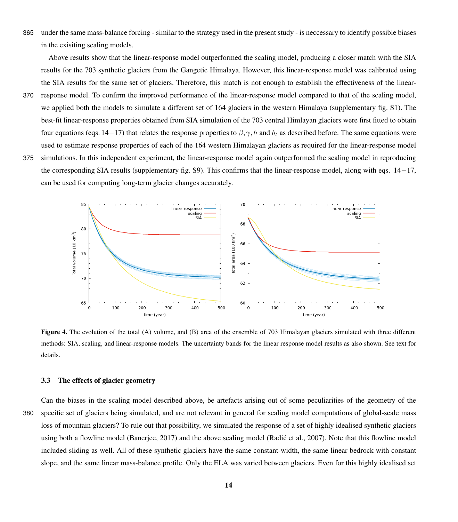365 under the same mass-balance forcing - similar to the strategy used in the present study - is neccessary to identify possible biases in the exisiting scaling models.

Above results show that the linear-response model outperformed the scaling model, producing a closer match with the SIA results for the 703 synthetic glaciers from the Gangetic Himalaya. However, this linear-response model was calibrated using the SIA results for the same set of glaciers. Therefore, this match is not enough to establish the effectiveness of the linear-

- 370 response model. To confirm the improved performance of the linear-response model compared to that of the scaling model, we applied both the models to simulate a different set of 164 glaciers in the western Himalaya (supplementary fig. S1). The best-fit linear-response properties obtained from SIA simulation of the 703 central Himlayan glaciers were first fitted to obtain four equations (eqs. [14](#page-14-0)−[17\)](#page-14-0) that relates the response properties to  $\beta$ ,  $\gamma$ , h and  $b_t$  as described before. The same equations were used to estimate response properties of each of the 164 western Himalayan glaciers as required for the linear-response model 375 simulations. In this independent experiment, the linear-response model again outperformed the scaling model in reproducing
- the corresponding SIA results (supplementary fig. S9). This confirms that the linear-response model, along with eqs. [14](#page-14-0)−[17,](#page-14-0) can be used for computing long-term glacier changes accurately.

<span id="page-13-0"></span>

Figure 4. The evolution of the total (A) volume, and (B) area of the ensemble of 703 Himalayan glaciers simulated with three different methods: SIA, scaling, and linear-response models. The uncertainty bands for the linear response model results as also shown. See text for details.

#### 3.3 The effects of glacier geometry

Can the biases in the scaling model described above, be artefacts arising out of some peculiarities of the geometry of the 380 specific set of glaciers being simulated, and are not relevant in general for scaling model computations of global-scale mass loss of mountain glaciers? To rule out that possibility, we simulated the response of a set of highly idealised synthetic glaciers using both a flowline model [\(Banerjee, 2017\)](#page-18-15) and the above scaling model (Radić et al., 2007). Note that this flowline model included sliding as well. All of these synthetic glaciers have the same constant-width, the same linear bedrock with constant slope, and the same linear mass-balance profile. Only the ELA was varied between glaciers. Even for this highly idealised set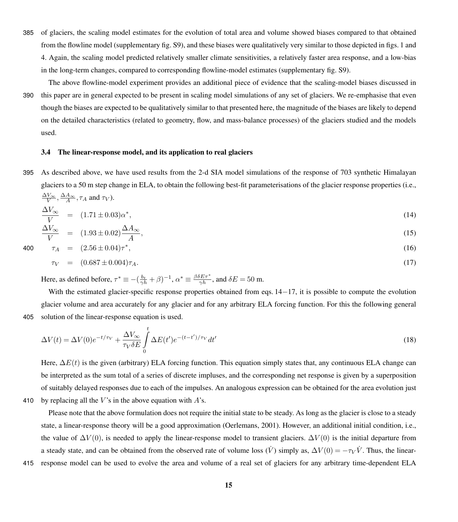- 385 of glaciers, the scaling model estimates for the evolution of total area and volume showed biases compared to that obtained from the flowline model (supplementary fig. S9), and these biases were qualitatively very similar to those depicted in figs. [1](#page-9-0) and [4.](#page-13-0) Again, the scaling model predicted relatively smaller climate sensitivities, a relatively faster area response, and a low-bias in the long-term changes, compared to corresponding flowline-model estimates (supplementary fig. S9).
- The above flowline-model experiment provides an additional piece of evidence that the scaling-model biases discussed in 390 this paper are in general expected to be present in scaling model simulations of any set of glaciers. We re-emphasise that even though the biases are expected to be qualitatively similar to that presented here, the magnitude of the biases are likely to depend on the detailed characteristics (related to geometry, flow, and mass-balance processes) of the glaciers studied and the models used.

# 3.4 The linear-response model, and its application to real glaciers

395 As described above, we have used results from the 2-d SIA model simulations of the response of 703 synthetic Himalayan glaciers to a 50 m step change in ELA, to obtain the following best-fit parameterisations of the glacier response properties (i.e.,  $\frac{\Delta V_{\infty}}{V}, \frac{\Delta A_{\infty}}{A}, \tau_A$  and  $\tau_V$ ).

<span id="page-14-0"></span>
$$
\frac{\Delta V_{\infty}}{V} = (1.71 \pm 0.03)\alpha^*,\tag{14}
$$

$$
\frac{\Delta V_{\infty}}{V} = (1.93 \pm 0.02) \frac{\Delta A_{\infty}}{A},\tag{15}
$$

$$
\tau_A = (2.56 \pm 0.04)\tau^*, \tag{16}
$$

$$
\tau_V = (0.687 \pm 0.004)\tau_A. \tag{17}
$$

Here, as defined before,  $\tau^* \equiv -(\frac{b_t}{\gamma h} + \beta)^{-1}$ ,  $\alpha^* \equiv \frac{\beta \delta E \tau^*}{\gamma h}$ , and  $\delta E = 50$  m.

With the estimated glacier-specific response properties obtained from eqs. [14](#page-14-0)−[17,](#page-14-0) it is possible to compute the evolution glacier volume and area accurately for any glacier and for any arbitrary ELA forcing function. For this the following general 405 solution of the linear-response equation is used.

$$
\Delta V(t) = \Delta V(0)e^{-t/\tau_V} + \frac{\Delta V_{\infty}}{\tau_V \delta E} \int_{0}^{t} \Delta E(t')e^{-(t-t')/\tau_V} dt'
$$
\n(18)

Here,  $\Delta E(t)$  is the given (arbitrary) ELA forcing function. This equation simply states that, any continuous ELA change can be interpreted as the sum total of a series of discrete impluses, and the corresponding net response is given by a superposition of suitably delayed responses due to each of the impulses. An analogous expression can be obtained for the area evolution just 410 by replacing all the V's in the above equation with  $A$ 's.

Please note that the above formulation does not require the initial state to be steady. As long as the glacier is close to a steady state, a linear-response theory will be a good approximation [\(Oerlemans, 2001\)](#page-19-4). However, an additional initial condition, i.e., the value of  $\Delta V(0)$ , is needed to apply the linear-response model to transient glaciers.  $\Delta V(0)$  is the initial departure from a steady state, and can be obtained from the observed rate of volume loss  $(\dot{V})$  simply as,  $\Delta V(0) = -\tau_V \dot{V}$ . Thus, the linear-

415 response model can be used to evolve the area and volume of a real set of glaciers for any arbitrary time-dependent ELA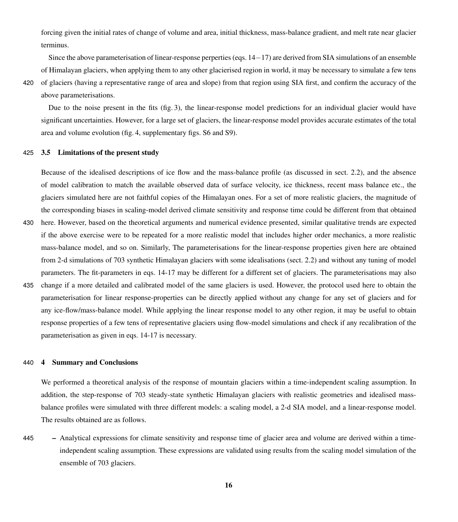forcing given the initial rates of change of volume and area, initial thickness, mass-balance gradient, and melt rate near glacier terminus.

Since the above parameterisation of linear-response perperties (eqs. [14](#page-14-0)−[17\)](#page-14-0) are derived from SIA simulations of an ensemble of Himalayan glaciers, when applying them to any other glacierised region in world, it may be necessary to simulate a few tens 420 of glaciers (having a representative range of area and slope) from that region using SIA first, and confirm the accuracy of the

Due to the noise present in the fits (fig. [3\)](#page-12-0), the linear-response model predictions for an individual glacier would have significant uncertainties. However, for a large set of glaciers, the linear-response model provides accurate estimates of the total area and volume evolution (fig. [4,](#page-13-0) supplementary figs. S6 and S9).

# 425 3.5 Limitations of the present study

above parameterisations.

Because of the idealised descriptions of ice flow and the mass-balance profile (as discussed in sect. 2.2), and the absence of model calibration to match the available observed data of surface velocity, ice thickness, recent mass balance etc., the glaciers simulated here are not faithful copies of the Himalayan ones. For a set of more realistic glaciers, the magnitude of the corresponding biases in scaling-model derived climate sensitivity and response time could be different from that obtained

- 430 here. However, based on the theoretical arguments and numerical evidence presented, similar qualitative trends are expected if the above exercise were to be repeated for a more realistic model that includes higher order mechanics, a more realistic mass-balance model, and so on. Similarly, The parameterisations for the linear-response properties given here are obtained from 2-d simulations of 703 synthetic Himalayan glaciers with some idealisations (sect. 2.2) and without any tuning of model parameters. The fit-parameters in eqs. 14-17 may be different for a different set of glaciers. The parameterisations may also
- 435 change if a more detailed and calibrated model of the same glaciers is used. However, the protocol used here to obtain the parameterisation for linear response-properties can be directly applied without any change for any set of glaciers and for any ice-flow/mass-balance model. While applying the linear response model to any other region, it may be useful to obtain response properties of a few tens of representative glaciers using flow-model simulations and check if any recalibration of the parameterisation as given in eqs. 14-17 is necessary.

## 440 4 Summary and Conclusions

We performed a theoretical analysis of the response of mountain glaciers within a time-independent scaling assumption. In addition, the step-response of 703 steady-state synthetic Himalayan glaciers with realistic geometries and idealised massbalance profiles were simulated with three different models: a scaling model, a 2-d SIA model, and a linear-response model. The results obtained are as follows.

445 – Analytical expressions for climate sensitivity and response time of glacier area and volume are derived within a timeindependent scaling assumption. These expressions are validated using results from the scaling model simulation of the ensemble of 703 glaciers.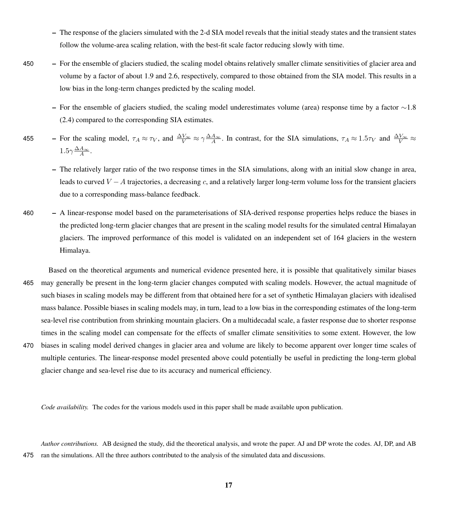- The response of the glaciers simulated with the 2-d SIA model reveals that the initial steady states and the transient states follow the volume-area scaling relation, with the best-fit scale factor reducing slowly with time.
- 450 For the ensemble of glaciers studied, the scaling model obtains relatively smaller climate sensitivities of glacier area and volume by a factor of about 1.9 and 2.6, respectively, compared to those obtained from the SIA model. This results in a low bias in the long-term changes predicted by the scaling model.
	- For the ensemble of glaciers studied, the scaling model underestimates volume (area) response time by a factor  $\sim$ 1.8 (2.4) compared to the corresponding SIA estimates.
- 455 For the scaling model,  $\tau_A \approx \tau_V$ , and  $\frac{\Delta V_{\infty}}{V} \approx \gamma \frac{\Delta A_{\infty}}{A}$ . In contrast, for the SIA simulations,  $\tau_A \approx 1.5 \tau_V$  and  $\frac{\Delta V_{\infty}}{V} \approx$  $1.5\gamma \frac{\Delta A_{\infty}}{A}$ .
	- The relatively larger ratio of the two response times in the SIA simulations, along with an initial slow change in area, leads to curved  $V - A$  trajectories, a decreasing c, and a relatively larger long-term volume loss for the transient glaciers due to a corresponding mass-balance feedback.
- 460 A linear-response model based on the parameterisations of SIA-derived response properties helps reduce the biases in the predicted long-term glacier changes that are present in the scaling model results for the simulated central Himalayan glaciers. The improved performance of this model is validated on an independent set of 164 glaciers in the western Himalaya.
- Based on the theoretical arguments and numerical evidence presented here, it is possible that qualitatively similar biases 465 may generally be present in the long-term glacier changes computed with scaling models. However, the actual magnitude of such biases in scaling models may be different from that obtained here for a set of synthetic Himalayan glaciers with idealised mass balance. Possible biases in scaling models may, in turn, lead to a low bias in the corresponding estimates of the long-term sea-level rise contribution from shrinking mountain glaciers. On a multidecadal scale, a faster response due to shorter response times in the scaling model can compensate for the effects of smaller climate sensitivities to some extent. However, the low 470 biases in scaling model derived changes in glacier area and volume are likely to become apparent over longer time scales of multiple centuries. The linear-response model presented above could potentially be useful in predicting the long-term global glacier change and sea-level rise due to its accuracy and numerical efficiency.

*Code availability.* The codes for the various models used in this paper shall be made available upon publication.

*Author contributions.* AB designed the study, did the theoretical analysis, and wrote the paper. AJ and DP wrote the codes. AJ, DP, and AB 475 ran the simulations. All the three authors contributed to the analysis of the simulated data and discussions.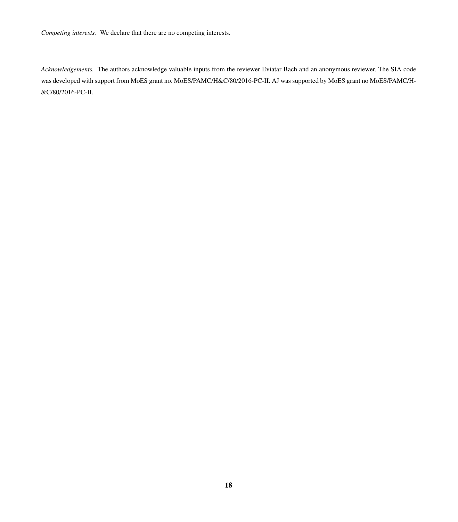*Competing interests.* We declare that there are no competing interests.

*Acknowledgements.* The authors acknowledge valuable inputs from the reviewer Eviatar Bach and an anonymous reviewer. The SIA code was developed with support from MoES grant no. MoES/PAMC/H&C/80/2016-PC-II. AJ was supported by MoES grant no MoES/PAMC/H- &C/80/2016-PC-II.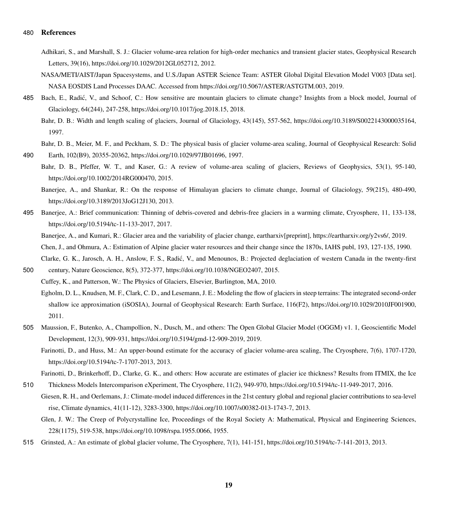### <span id="page-18-9"></span>480 References

- Adhikari, S., and Marshall, S. J.: Glacier volume-area relation for high-order mechanics and transient glacier states, Geophysical Research Letters, 39(16), https://doi.org/10.1029/2012GL052712, 2012.
- <span id="page-18-12"></span>NASA/METI/AIST/Japan Spacesystems, and U.S./Japan ASTER Science Team: ASTER Global Digital Elevation Model V003 [Data set]. NASA EOSDIS Land Processes DAAC. Accessed from https://doi.org/10.5067/ASTER/ASTGTM.003, 2019.
- <span id="page-18-11"></span><span id="page-18-7"></span>485 Bach, E., Radić, V., and Schoof, C.: How sensitive are mountain glaciers to climate change? Insights from a block model, Journal of Glaciology, 64(244), 247-258, https://doi.org/10.1017/jog.2018.15, 2018.
	- Bahr, D. B.: Width and length scaling of glaciers, Journal of Glaciology, 43(145), 557-562, https://doi.org/10.3189/S0022143000035164, 1997.
- <span id="page-18-6"></span><span id="page-18-4"></span>Bahr, D. B., Meier, M. F., and Peckham, S. D.: The physical basis of glacier volume-area scaling, Journal of Geophysical Research: Solid 490 Earth, 102(B9), 20355-20362, https://doi.org/10.1029/97JB01696, 1997.
	- Bahr, D. B., Pfeffer, W. T., and Kaser, G.: A review of volume-area scaling of glaciers, Reviews of Geophysics, 53(1), 95-140,
		- https://doi.org/10.1002/2014RG000470, 2015.
		- Banerjee, A., and Shankar, R.: On the response of Himalayan glaciers to climate change, Journal of Glaciology, 59(215), 480-490, https://doi.org/10.3189/2013JoG12J130, 2013.
- <span id="page-18-15"></span><span id="page-18-13"></span>495 Banerjee, A.: Brief communication: Thinning of debris-covered and debris-free glaciers in a warming climate, Cryosphere, 11, 133-138, https://doi.org/10.5194/tc-11-133-2017, 2017.
	- Banerjee, A., and Kumari, R.: Glacier area and the variability of glacier change, eartharxiv[preprint], https://eartharxiv.org/y2vs6/, 2019. Chen, J., and Ohmura, A.: Estimation of Alpine glacier water resources and their change since the 1870s, IAHS publ, 193, 127-135, 1990. Clarke, G. K., Jarosch, A. H., Anslow, F. S., Radic, V., and Menounos, B.: Projected deglaciation of western Canada in the twenty-first ´
- <span id="page-18-5"></span><span id="page-18-1"></span><span id="page-18-0"></span>500 century, Nature Geoscience, 8(5), 372-377, https://doi.org/10.1038/NGEO2407, 2015. Cuffey, K., and Patterson, W.: The Physics of Glaciers, Elsevier, Burlington, MA, 2010.
	- Egholm, D. L., Knudsen, M. F., Clark, C. D., and Lesemann, J. E.: Modeling the flow of glaciers in steep terrains: The integrated second-order shallow ice approximation (iSOSIA), Journal of Geophysical Research: Earth Surface, 116(F2), https://doi.org/10.1029/2010JF001900, 2011.
- <span id="page-18-10"></span><span id="page-18-2"></span>505 Maussion, F., Butenko, A., Champollion, N., Dusch, M., and others: The Open Global Glacier Model (OGGM) v1. 1, Geoscientific Model Development, 12(3), 909-931, https://doi.org/10.5194/gmd-12-909-2019, 2019.
	- Farinotti, D., and Huss, M.: An upper-bound estimate for the accuracy of glacier volume-area scaling, The Cryosphere, 7(6), 1707-1720, https://doi.org/10.5194/tc-7-1707-2013, 2013.
	- Farinotti, D., Brinkerhoff, D., Clarke, G. K., and others: How accurate are estimates of glacier ice thickness? Results from ITMIX, the Ice
- <span id="page-18-3"></span>510 Thickness Models Intercomparison eXperiment, The Cryosphere, 11(2), 949-970, https://doi.org/10.5194/tc-11-949-2017, 2016. Giesen, R. H., and Oerlemans, J.: Climate-model induced differences in the 21st century global and regional glacier contributions to sea-level rise, Climate dynamics, 41(11-12), 3283-3300, https://doi.org/10.1007/s00382-013-1743-7, 2013.

<span id="page-18-8"></span>Glen, J. W.: The Creep of Polycrystalline Ice, Proceedings of the Royal Society A: Mathematical, Physical and Engineering Sciences, 228(1175), 519-538, https://doi.org/10.1098/rspa.1955.0066, 1955.

<span id="page-18-14"></span>515 Grinsted, A.: An estimate of global glacier volume, The Cryosphere, 7(1), 141-151, https://doi.org/10.5194/tc-7-141-2013, 2013.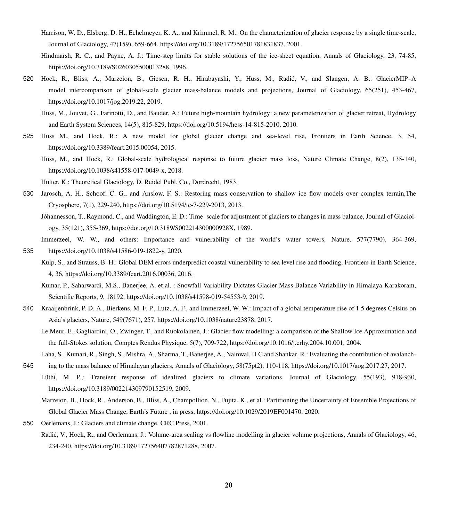- <span id="page-19-11"></span>Harrison, W. D., Elsberg, D. H., Echelmeyer, K. A., and Krimmel, R. M.: On the characterization of glacier response by a single time-scale, Journal of Glaciology, 47(159), 659-664, https://doi.org/10.3189/172756501781831837, 2001.
- <span id="page-19-15"></span>Hindmarsh, R. C., and Payne, A. J.: Time-step limits for stable solutions of the ice-sheet equation, Annals of Glaciology, 23, 74-85, https://doi.org/10.3189/S0260305500013288, 1996.
- <span id="page-19-8"></span><span id="page-19-0"></span>520 Hock, R., Bliss, A., Marzeion, B., Giesen, R. H., Hirabayashi, Y., Huss, M., Radic, V., and Slangen, A. B.: GlacierMIP–A ´ model intercomparison of global-scale glacier mass-balance models and projections, Journal of Glaciology, 65(251), 453-467, https://doi.org/10.1017/jog.2019.22, 2019.
	- Huss, M., Jouvet, G., Farinotti, D., and Bauder, A.: Future high-mountain hydrology: a new parameterization of glacier retreat, Hydrology and Earth System Sciences, 14(5), 815-829, https://doi.org/10.5194/hess-14-815-2010, 2010.
- <span id="page-19-9"></span><span id="page-19-2"></span>525 Huss M., and Hock, R.: A new model for global glacier change and sea-level rise, Frontiers in Earth Science, 3, 54, https://doi.org/10.3389/feart.2015.00054, 2015.
	- Huss, M., and Hock, R.: Global-scale hydrological response to future glacier mass loss, Nature Climate Change, 8(2), 135-140, https://doi.org/10.1038/s41558-017-0049-x, 2018.
	- Hutter, K.: Theoretical Glaciology, D. Reidel Publ. Co., Dordrecht, 1983.
- <span id="page-19-16"></span><span id="page-19-5"></span>530 Jarosch, A. H., Schoof, C. G., and Anslow, F. S.: Restoring mass conservation to shallow ice flow models over complex terrain,The Cryosphere, 7(1), 229-240, https://doi.org/10.5194/tc-7-229-2013, 2013.
	- Jóhannesson, T., Raymond, C., and Waddington, E. D.: Time–scale for adjustment of glaciers to changes in mass balance, Journal of Glaciology, 35(121), 355-369, https://doi.org/10.3189/S002214300000928X, 1989.
- <span id="page-19-6"></span><span id="page-19-3"></span>Immerzeel, W. W., and others: Importance and vulnerability of the world's water towers, Nature, 577(7790), 364-369, 535 https://doi.org/10.1038/s41586-019-1822-y, 2020.
	- Kulp, S., and Strauss, B. H.: Global DEM errors underpredict coastal vulnerability to sea level rise and flooding, Frontiers in Earth Science, 4, 36, https://doi.org/10.3389/feart.2016.00036, 2016.
	- Kumar, P., Saharwardi, M.S., Banerjee, A. et al. : Snowfall Variability Dictates Glacier Mass Balance Variability in Himalaya-Karakoram, Scientific Reports, 9, 18192, https://doi.org/10.1038/s41598-019-54553-9, 2019.
- <span id="page-19-14"></span><span id="page-19-13"></span><span id="page-19-7"></span>540 Kraaijenbrink, P. D. A., Bierkens, M. F. P., Lutz, A. F., and Immerzeel, W. W.: Impact of a global temperature rise of 1.5 degrees Celsius on Asia's glaciers, Nature, 549(7671), 257, https://doi.org/10.1038/nature23878, 2017.
	- Le Meur, E., Gagliardini, O., Zwinger, T., and Ruokolainen, J.: Glacier flow modelling: a comparison of the Shallow Ice Approximation and the full-Stokes solution, Comptes Rendus Physique, 5(7), 709-722, https://doi.org/10.1016/j.crhy.2004.10.001, 2004.

Laha, S., Kumari, R., Singh, S., Mishra, A., Sharma, T., Banerjee, A., Nainwal, H C and Shankar, R.: Evaluating the contribution of avalanch-

- <span id="page-19-12"></span><span id="page-19-1"></span>545 ing to the mass balance of Himalayan glaciers, Annals of Glaciology, 58(75pt2), 110-118, https://doi.org/10.1017/aog.2017.27, 2017.
	- Lüthi, M. P.,: Transient response of idealized glaciers to climate variations, Journal of Glaciology, 55(193), 918-930, https://doi.org/10.3189/002214309790152519, 2009.
		- Marzeion, B., Hock, R., Anderson, B., Bliss, A., Champollion, N., Fujita, K., et al.: Partitioning the Uncertainty of Ensemble Projections of Global Glacier Mass Change, Earth's Future , in press, https://doi.org/10.1029/2019EF001470, 2020.
- <span id="page-19-10"></span><span id="page-19-4"></span>550 Oerlemans, J.: Glaciers and climate change. CRC Press, 2001.
	- Radić, V., Hock, R., and Oerlemans, J.: Volume-area scaling vs flowline modelling in glacier volume projections, Annals of Glaciology, 46, 234-240, https://doi.org/10.3189/172756407782871288, 2007.